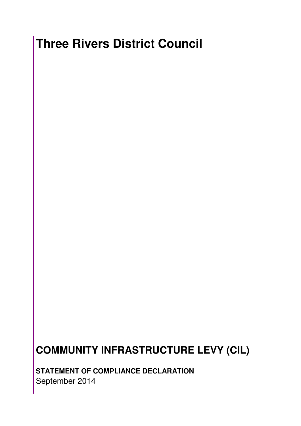## **Three Rivers District Council**

## **COMMUNITY INFRASTRUCTURE LEVY (CIL)**

**STATEMENT OF COMPLIANCE DECLARATION**  September 2014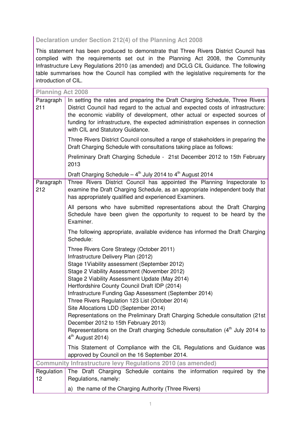## **Declaration under Section 212(4) of the Planning Act 2008**

This statement has been produced to demonstrate that Three Rivers District Council has complied with the requirements set out in the Planning Act 2008, the Community Infrastructure Levy Regulations 2010 (as amended) and DCLG CIL Guidance. The following table summarises how the Council has complied with the legislative requirements for the introduction of CIL.

| <b>Planning Act 2008</b>                                           |                                                                                                                                                                                                                                                                                                                                                                                                                                                                                                                                                                                                                                                                                        |  |
|--------------------------------------------------------------------|----------------------------------------------------------------------------------------------------------------------------------------------------------------------------------------------------------------------------------------------------------------------------------------------------------------------------------------------------------------------------------------------------------------------------------------------------------------------------------------------------------------------------------------------------------------------------------------------------------------------------------------------------------------------------------------|--|
| Paragraph<br>211                                                   | In setting the rates and preparing the Draft Charging Schedule, Three Rivers<br>District Council had regard to the actual and expected costs of infrastructure:<br>the economic viability of development, other actual or expected sources of<br>funding for infrastructure, the expected administration expenses in connection<br>with CIL and Statutory Guidance.                                                                                                                                                                                                                                                                                                                    |  |
|                                                                    | Three Rivers District Council consulted a range of stakeholders in preparing the<br>Draft Charging Schedule with consultations taking place as follows:                                                                                                                                                                                                                                                                                                                                                                                                                                                                                                                                |  |
|                                                                    | Preliminary Draft Charging Schedule - 21st December 2012 to 15th February<br>2013                                                                                                                                                                                                                                                                                                                                                                                                                                                                                                                                                                                                      |  |
|                                                                    | Draft Charging Schedule $-4^{th}$ July 2014 to $4^{th}$ August 2014                                                                                                                                                                                                                                                                                                                                                                                                                                                                                                                                                                                                                    |  |
| Paragraph<br>212                                                   | Three Rivers District Council has appointed the Planning Inspectorate to<br>examine the Draft Charging Schedule, as an appropriate independent body that<br>has appropriately qualified and experienced Examiners.                                                                                                                                                                                                                                                                                                                                                                                                                                                                     |  |
|                                                                    | All persons who have submitted representations about the Draft Charging<br>Schedule have been given the opportunity to request to be heard by the<br>Examiner.                                                                                                                                                                                                                                                                                                                                                                                                                                                                                                                         |  |
|                                                                    | The following appropriate, available evidence has informed the Draft Charging<br>Schedule:                                                                                                                                                                                                                                                                                                                                                                                                                                                                                                                                                                                             |  |
|                                                                    | Three Rivers Core Strategy (October 2011)<br>Infrastructure Delivery Plan (2012)<br>Stage 1 Viability assessment (September 2012)<br>Stage 2 Viability Assessment (November 2012)<br>Stage 2 Viability Assessment Update (May 2014)<br>Hertfordshire County Council Draft IDP (2014)<br>Infrastructure Funding Gap Assessment (September 2014)<br>Three Rivers Regulation 123 List (October 2014)<br>Site Allocations LDD (September 2014)<br>Representations on the Preliminary Draft Charging Schedule consultation (21st<br>December 2012 to 15th February 2013)<br>Representations on the Draft charging Schedule consultation (4 <sup>th</sup> July 2014 to<br>$4th$ August 2014) |  |
|                                                                    | This Statement of Compliance with the CIL Regulations and Guidance was<br>approved by Council on the 16 September 2014.                                                                                                                                                                                                                                                                                                                                                                                                                                                                                                                                                                |  |
| <b>Community Infrastructure levy Regulations 2010 (as amended)</b> |                                                                                                                                                                                                                                                                                                                                                                                                                                                                                                                                                                                                                                                                                        |  |
| Regulation<br>12                                                   | The Draft Charging Schedule contains the information required by the<br>Regulations, namely:                                                                                                                                                                                                                                                                                                                                                                                                                                                                                                                                                                                           |  |
|                                                                    | a) the name of the Charging Authority (Three Rivers)                                                                                                                                                                                                                                                                                                                                                                                                                                                                                                                                                                                                                                   |  |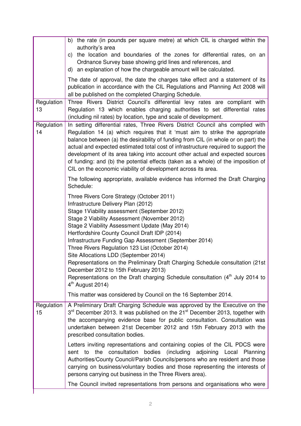|                  | b) the rate (in pounds per square metre) at which CIL is charged within the<br>authority's area<br>the location and boundaries of the zones for differential rates, on an<br>C)<br>Ordnance Survey base showing grid lines and references, and<br>d) an explanation of how the chargeable amount will be calculated.                                                                                                                                                                                                                                                                                                                                                         |
|------------------|------------------------------------------------------------------------------------------------------------------------------------------------------------------------------------------------------------------------------------------------------------------------------------------------------------------------------------------------------------------------------------------------------------------------------------------------------------------------------------------------------------------------------------------------------------------------------------------------------------------------------------------------------------------------------|
|                  | The date of approval, the date the charges take effect and a statement of its<br>publication in accordance with the CIL Regulations and Planning Act 2008 will<br>all be published on the completed Charging Schedule.                                                                                                                                                                                                                                                                                                                                                                                                                                                       |
| Regulation<br>13 | Three Rivers District Council's differential levy rates are compliant with<br>Regulation 13 which enables charging authorities to set differential rates<br>(including nil rates) by location, type and scale of development.                                                                                                                                                                                                                                                                                                                                                                                                                                                |
| Regulation<br>14 | In setting differential rates, Three Rivers District Council ahs complied with<br>Regulation 14 (a) which requires that it 'must aim to strike the appropriate<br>balance between (a) the desirability of funding from CIL (in whole or on part) the<br>actual and expected estimated total cost of infrastructure required to support the<br>development of its area taking into account other actual and expected sources<br>of funding: and (b) the potential effects (taken as a whole) of the imposition of<br>CIL on the economic viability of development across its area.                                                                                            |
|                  | The following appropriate, available evidence has informed the Draft Charging<br>Schedule:                                                                                                                                                                                                                                                                                                                                                                                                                                                                                                                                                                                   |
|                  | Three Rivers Core Strategy (October 2011)<br>Infrastructure Delivery Plan (2012)<br>Stage 1 Viability assessment (September 2012)<br>Stage 2 Viability Assessment (November 2012)<br>Stage 2 Viability Assessment Update (May 2014)<br>Hertfordshire County Council Draft IDP (2014)<br>Infrastructure Funding Gap Assessment (September 2014)<br>Three Rivers Regulation 123 List (October 2014)<br>Site Allocations LDD (September 2014)<br>Representations on the Preliminary Draft Charging Schedule consultation (21st<br>December 2012 to 15th February 2013)<br>Representations on the Draft charging Schedule consultation $(4th$ July 2014 to<br>$4th$ August 2014) |
|                  | This matter was considered by Council on the 16 September 2014.                                                                                                                                                                                                                                                                                                                                                                                                                                                                                                                                                                                                              |
| Regulation<br>15 | A Preliminary Draft Charging Schedule was approved by the Executive on the<br>3 <sup>rd</sup> December 2013. It was published on the 21 <sup>st</sup> December 2013, together with<br>the accompanying evidence base for public consultation. Consultation was<br>undertaken between 21st December 2012 and 15th February 2013 with the<br>prescribed consultation bodies.                                                                                                                                                                                                                                                                                                   |
|                  | Letters inviting representations and containing copies of the CIL PDCS were<br>sent to the consultation bodies (including adjoining Local Planning<br>Authorities/County Council/Parish Councils/persons who are resident and those<br>carrying on business/voluntary bodies and those representing the interests of<br>persons carrying out business in the Three Rivers area).                                                                                                                                                                                                                                                                                             |
|                  | The Council invited representations from persons and organisations who were                                                                                                                                                                                                                                                                                                                                                                                                                                                                                                                                                                                                  |